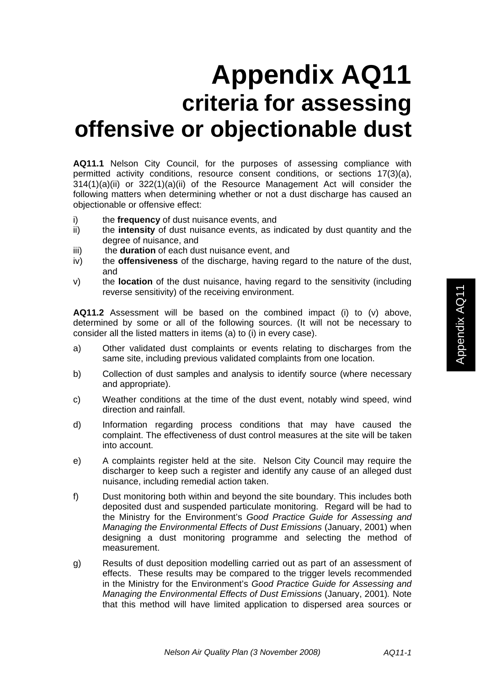## **Appendix AQ11 criteria for assessing offensive or objectionable dust**

**AQ11.1** Nelson City Council, for the purposes of assessing compliance with permitted activity conditions, resource consent conditions, or sections 17(3)(a), 314(1)(a)(ii) or 322(1)(a)(ii) of the Resource Management Act will consider the following matters when determining whether or not a dust discharge has caused an objectionable or offensive effect:

- i) the **frequency** of dust nuisance events, and
- ii) the **intensity** of dust nuisance events, as indicated by dust quantity and the degree of nuisance, and
- iii) the **duration** of each dust nuisance event, and
- iv) the **offensiveness** of the discharge, having regard to the nature of the dust, and
- v) the **location** of the dust nuisance, having regard to the sensitivity (including reverse sensitivity) of the receiving environment.

**AQ11.2** Assessment will be based on the combined impact (i) to (v) above, determined by some or all of the following sources. (It will not be necessary to consider all the listed matters in items (a) to (i) in every case).

- a) Other validated dust complaints or events relating to discharges from the same site, including previous validated complaints from one location.
- b) Collection of dust samples and analysis to identify source (where necessary and appropriate).
- c) Weather conditions at the time of the dust event, notably wind speed, wind direction and rainfall.
- d) Information regarding process conditions that may have caused the complaint. The effectiveness of dust control measures at the site will be taken into account.
- e) A complaints register held at the site. Nelson City Council may require the discharger to keep such a register and identify any cause of an alleged dust nuisance, including remedial action taken.
- f) Dust monitoring both within and beyond the site boundary. This includes both deposited dust and suspended particulate monitoring. Regard will be had to the Ministry for the Environment's *Good Practice Guide for Assessing and Managing the Environmental Effects of Dust Emissions* (January, 2001) when designing a dust monitoring programme and selecting the method of measurement.
- g) Results of dust deposition modelling carried out as part of an assessment of effects. These results may be compared to the trigger levels recommended in the Ministry for the Environment's *Good Practice Guide for Assessing and Managing the Environmental Effects of Dust Emissions* (January, 2001)*.* Note that this method will have limited application to dispersed area sources or